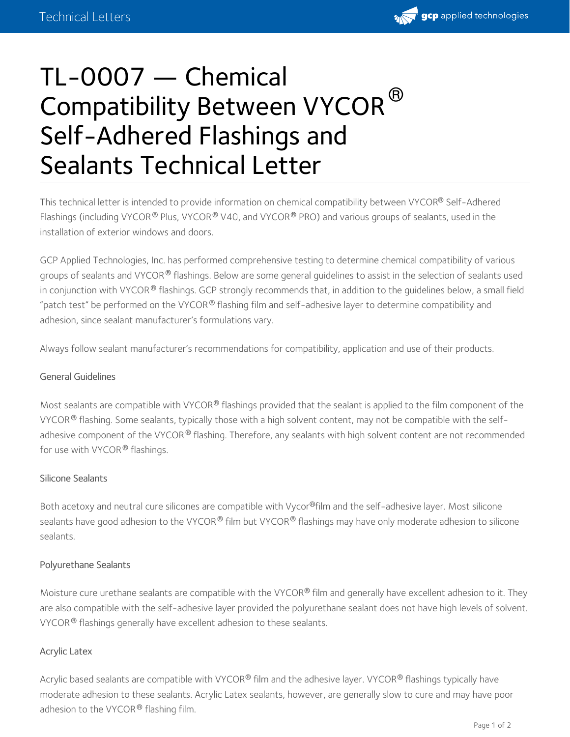

# TL-0007 — Chemical Compatibility Between VYCOR<sup>®</sup> Self-Adhered Flashings and Sealants Technical Letter

This technical letter is intended to provide information on chemical compatibility between VYCOR® Self-Adhered Flashings (including VYCOR® Plus, VYCOR® V40, and VYCOR® PRO) and various groups of sealants, used in the installation of exterior windows and doors.

GCP Applied Technologies, Inc. has performed comprehensive testing to determine chemical compatibility of various groups of sealants and VYCOR® flashings. Below are some general guidelines to assist in the selection of sealants used in conjunction with VYCOR® flashings. GCP strongly recommends that, in addition to the guidelines below, a small field "patch test" be performed on the VYCOR $^\circledR$  flashing film and self-adhesive layer to determine compatibility and adhesion, since sealant manufacturer's formulations vary.

Always follow sealant manufacturer's recommendations for compatibility, application and use of their products.

### General Guidelines

Most sealants are compatible with VYCOR® flashings provided that the sealant is applied to the film component of the VYCOR $^\circledR$  flashing. Some sealants, typically those with a high solvent content, may not be compatible with the selfadhesive component of the VYCOR $^\circledR$  flashing. Therefore, any sealants with high solvent content are not recommended for use with VYCOR® flashings.

#### Silicone Sealants

Both acetoxy and neutral cure silicones are compatible with Vycor®film and the self-adhesive layer. Most silicone sealants have good adhesion to the VYCOR® film but VYCOR® flashings may have only moderate adhesion to silicone sealants.

#### Polyurethane Sealants

Moisture cure urethane sealants are compatible with the VYCOR® film and generally have excellent adhesion to it. They are also compatible with the self-adhesive layer provided the polyurethane sealant does not have high levels of solvent. VYCOR $^\circledR$  flashings generally have excellent adhesion to these sealants.

#### Acrylic Latex

Acrylic based sealants are compatible with VYCOR® film and the adhesive layer. VYCOR® flashings typically have moderate adhesion to these sealants. Acrylic Latex sealants, however, are generally slow to cure and may have poor adhesion to the VYCOR® flashing film.